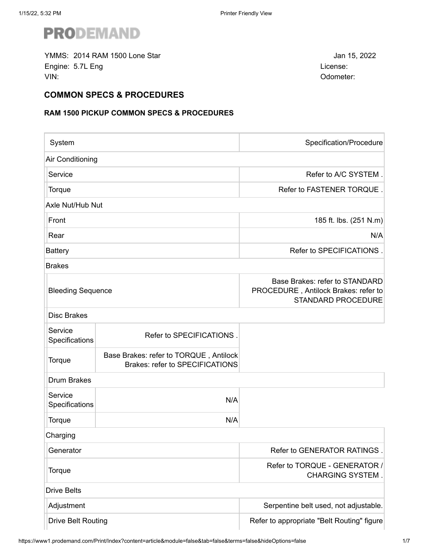

YMMS: Jan 15, 2022 2014 RAM 1500 Lone StarEngine: 5.7L Eng License: VIN: Odometer:

### **COMMON SPECS & PROCEDURES**

# **RAM 1500 PICKUP COMMON SPECS & PROCEDURES**

| System                    |                                                                                  | Specification/Procedure                                                                             |
|---------------------------|----------------------------------------------------------------------------------|-----------------------------------------------------------------------------------------------------|
| Air Conditioning          |                                                                                  |                                                                                                     |
| Service                   |                                                                                  | Refer to A/C SYSTEM.                                                                                |
| Torque                    |                                                                                  | Refer to FASTENER TORQUE                                                                            |
| Axle Nut/Hub Nut          |                                                                                  |                                                                                                     |
| Front                     |                                                                                  | 185 ft. lbs. (251 N.m)                                                                              |
| Rear                      |                                                                                  | N/A                                                                                                 |
| <b>Battery</b>            |                                                                                  | Refer to SPECIFICATIONS.                                                                            |
| <b>Brakes</b>             |                                                                                  |                                                                                                     |
| <b>Bleeding Sequence</b>  |                                                                                  | Base Brakes: refer to STANDARD<br>PROCEDURE, Antilock Brakes: refer to<br><b>STANDARD PROCEDURE</b> |
| <b>Disc Brakes</b>        |                                                                                  |                                                                                                     |
| Service<br>Specifications | Refer to SPECIFICATIONS.                                                         |                                                                                                     |
| Torque                    | Base Brakes: refer to TORQUE, Antilock<br><b>Brakes: refer to SPECIFICATIONS</b> |                                                                                                     |
| <b>Drum Brakes</b>        |                                                                                  |                                                                                                     |
| Service<br>Specifications | N/A                                                                              |                                                                                                     |
| Torque                    | N/A                                                                              |                                                                                                     |
| Charging                  |                                                                                  |                                                                                                     |
| Generator                 |                                                                                  | Refer to GENERATOR RATINGS                                                                          |
| Torque                    |                                                                                  | Refer to TORQUE - GENERATOR /<br><b>CHARGING SYSTEM.</b>                                            |
| <b>Drive Belts</b>        |                                                                                  |                                                                                                     |
| Adjustment                |                                                                                  | Serpentine belt used, not adjustable.                                                               |
| <b>Drive Belt Routing</b> |                                                                                  | Refer to appropriate "Belt Routing" figure                                                          |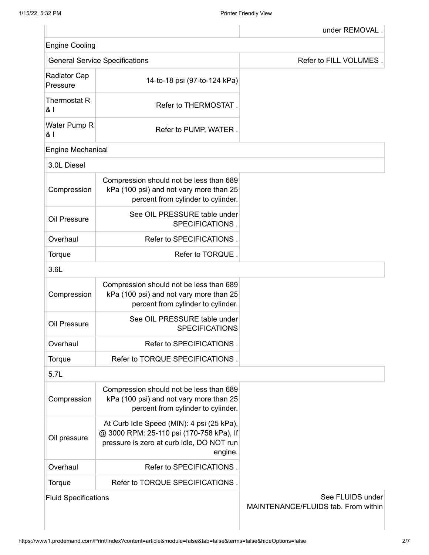I

| <b>Engine Cooling</b>           |                                                                                                                                               |                        |
|---------------------------------|-----------------------------------------------------------------------------------------------------------------------------------------------|------------------------|
|                                 | <b>General Service Specifications</b>                                                                                                         | Refer to FILL VOLUMES. |
| <b>Radiator Cap</b><br>Pressure | 14-to-18 psi (97-to-124 kPa)                                                                                                                  |                        |
| Thermostat R<br>81              | Refer to THERMOSTAT.                                                                                                                          |                        |
| Water Pump R<br>81              | Refer to PUMP, WATER.                                                                                                                         |                        |
| <b>Engine Mechanical</b>        |                                                                                                                                               |                        |
| 3.0L Diesel                     |                                                                                                                                               |                        |
| Compression                     | Compression should not be less than 689<br>kPa (100 psi) and not vary more than 25<br>percent from cylinder to cylinder.                      |                        |
| Oil Pressure                    | See OIL PRESSURE table under<br>SPECIFICATIONS.                                                                                               |                        |
| Overhaul                        | Refer to SPECIFICATIONS.                                                                                                                      |                        |
| Torque                          | Refer to TORQUE.                                                                                                                              |                        |
| 3.6L                            |                                                                                                                                               |                        |
| Compression                     | Compression should not be less than 689<br>kPa (100 psi) and not vary more than 25<br>percent from cylinder to cylinder.                      |                        |
| Oil Pressure                    | See OIL PRESSURE table under<br><b>SPECIFICATIONS</b>                                                                                         |                        |
| Overhaul                        | Refer to SPECIFICATIONS.                                                                                                                      |                        |
| Torque                          | Refer to TORQUE SPECIFICATIONS.                                                                                                               |                        |
| 5.7L                            |                                                                                                                                               |                        |
| Compression                     | Compression should not be less than 689<br>kPa (100 psi) and not vary more than 25<br>percent from cylinder to cylinder.                      |                        |
| Oil pressure                    | At Curb Idle Speed (MIN): 4 psi (25 kPa),<br>@ 3000 RPM: 25-110 psi (170-758 kPa), If<br>pressure is zero at curb idle, DO NOT run<br>engine. |                        |
| Overhaul                        | Refer to SPECIFICATIONS.                                                                                                                      |                        |
| Torque                          | Refer to TORQUE SPECIFICATIONS.                                                                                                               |                        |
| <b>Fluid Specifications</b>     |                                                                                                                                               | See FLUIDS under       |

MAINTENANCE/FLUIDS tab. From within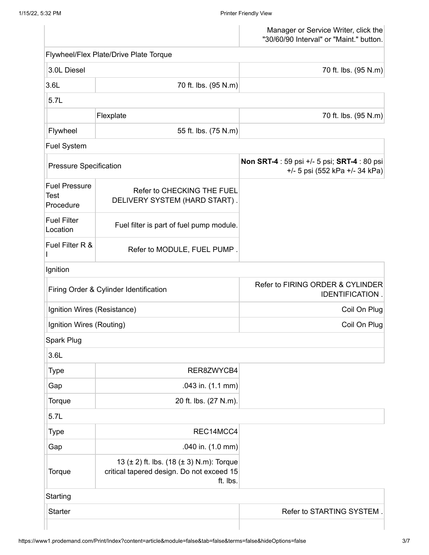**Test** 

I

Manager or Service Writer, click the "30/60/90 Interval" or "Maint." button. Flywheel/Flex Plate/Drive Plate Torque 3.0L Diesel 70 ft. lbs. (95 N.m) 3.6L 70 ft. lbs. (95 N.m) 5.7L Flexplate 70 ft. lbs. (95 N.m) Flywheel 55 ft. lbs. (75 N.m) Fuel System Pressure Specification **Non SRT-4** : 59 psi +/- 5 psi; **SRT-4** : 80 psi +/- 5 psi (552 kPa +/- 34 kPa) Fuel Pressure **Procedure** Refer to CHECKING THE FUEL DELIVERY SYSTEM (HARD START) . Fuel Filter Location Fuel filter is part of fuel pump module. Fuel Filter R & Refer to MODULE, FUEL PUMP . Ignition Firing Order & Cylinder Identification **Refer to FIRING ORDER & CYLINDER IDENTIFICATION** Ignition Wires (Resistance) and the coil On Plug coil On Plug Ignition Wires (Routing) **Coil On Plug** Spark Plug 3.6L Type and the contract of the RER8ZWYCB4 Gap .043 in. (1.1 mm) Torque 10 and 10 and 20 ft. lbs. (27 N.m). 5.7L Type and the contract of the REC14MCC4 Gap .040 in. (1.0 mm) **Torque** 13 (± 2) ft. lbs. (18 (± 3) N.m): Torque critical tapered design. Do not exceed 15 ft. lbs. **Starting** 

Starter  $\overline{\phantom{a}}$  Starter  $\overline{\phantom{a}}$  . The Refer to STARTING SYSTEM .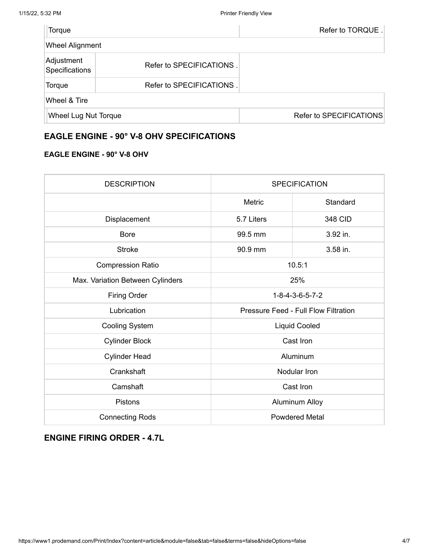| Torque                       |                          | Refer to TORQUE.        |
|------------------------------|--------------------------|-------------------------|
| <b>Wheel Alignment</b>       |                          |                         |
| Adjustment<br>Specifications | Refer to SPECIFICATIONS. |                         |
| Torque                       | Refer to SPECIFICATIONS. |                         |
| Wheel & Tire                 |                          |                         |
| <b>Wheel Lug Nut Torque</b>  |                          | Refer to SPECIFICATIONS |

# **EAGLE ENGINE - 90° V-8 OHV SPECIFICATIONS**

#### **EAGLE ENGINE - 90° V-8 OHV**

| <b>DESCRIPTION</b>               | <b>SPECIFICATION</b>                        |          |
|----------------------------------|---------------------------------------------|----------|
|                                  | Metric                                      | Standard |
| Displacement                     | 5.7 Liters                                  | 348 CID  |
| <b>Bore</b>                      | 99.5 mm                                     | 3.92 in. |
| <b>Stroke</b>                    | 90.9 mm                                     | 3.58 in. |
| <b>Compression Ratio</b>         | 10.5:1                                      |          |
| Max. Variation Between Cylinders | 25%                                         |          |
| <b>Firing Order</b>              | 1-8-4-3-6-5-7-2                             |          |
| Lubrication                      | <b>Pressure Feed - Full Flow Filtration</b> |          |
| <b>Cooling System</b>            | <b>Liquid Cooled</b>                        |          |
| <b>Cylinder Block</b>            | Cast Iron                                   |          |
| <b>Cylinder Head</b>             | Aluminum                                    |          |
| Crankshaft                       | Nodular Iron                                |          |
| Camshaft                         | Cast Iron                                   |          |
| <b>Pistons</b>                   | <b>Aluminum Alloy</b>                       |          |
| <b>Connecting Rods</b>           | <b>Powdered Metal</b>                       |          |

# **ENGINE FIRING ORDER - 4.7L**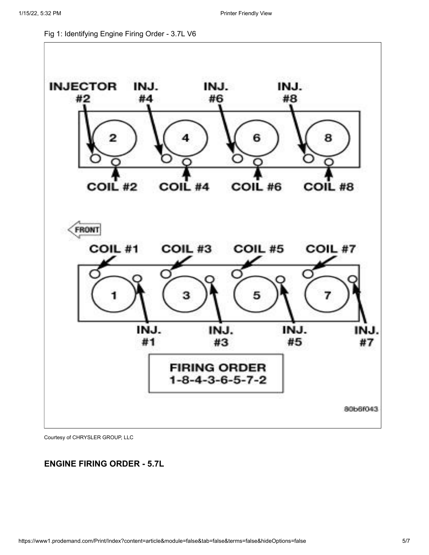Fig 1: Identifying Engine Firing Order - 3.7L V6



Courtesy of CHRYSLER GROUP, LLC

# **ENGINE FIRING ORDER - 5.7L**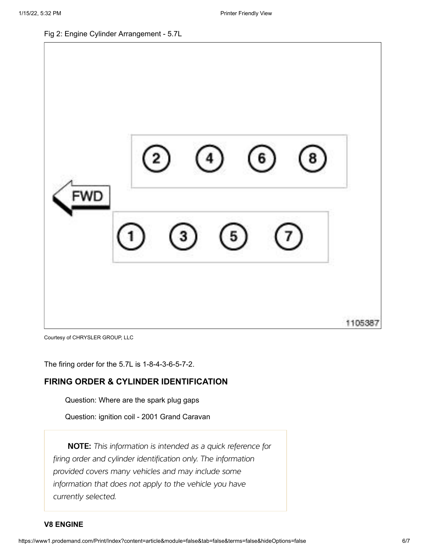Fig 2: Engine Cylinder Arrangement - 5.7L



Courtesy of CHRYSLER GROUP, LLC

The firing order for the 5.7L is 1-8-4-3-6-5-7-2.

### **FIRING ORDER & CYLINDER IDENTIFICATION**

[Question: Where are the spark plug gaps](https://www1.prodemand.com/Api/Tips/GetPosts/36649)

[Question: ignition coil - 2001 Grand Caravan](https://www1.prodemand.com/Api/Tips/GetPosts/21743)

NOTE: This information is intended as a quick reference for firing order and cylinder identification only. The information provided covers many vehicles and may include some information that does not apply to the vehicle you have currently selected.

#### **V8 ENGINE**